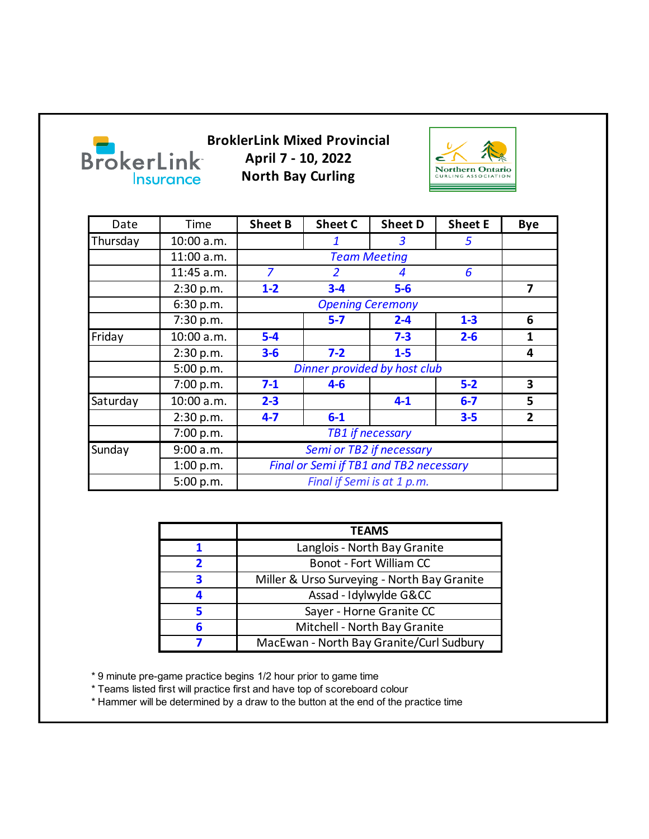

**BroklerLink Mixed Provincial April 7 - 10, 2022 North Bay Curling**



| Date     | Time       | <b>Sheet B</b>                                | <b>Sheet C</b> | <b>Sheet D</b> | <b>Sheet E</b> | <b>Bye</b>              |
|----------|------------|-----------------------------------------------|----------------|----------------|----------------|-------------------------|
| Thursday | 10:00 a.m. |                                               | 1              | 3              | 5              |                         |
|          | 11:00 a.m. |                                               |                |                |                |                         |
|          | 11:45 a.m. | $\overline{z}$                                | 2              | 4              | 6              |                         |
|          | 2:30 p.m.  | $1-2$                                         | $3 - 4$        | $5-6$          |                | 7                       |
|          | 6:30 p.m.  |                                               |                |                |                |                         |
|          | 7:30 p.m.  |                                               | $5-7$          | $2 - 4$        | $1-3$          | 6                       |
| Friday   | 10:00 a.m. | $5-4$                                         |                | $7 - 3$        | $2 - 6$        | 1                       |
|          | 2:30 p.m.  | $3-6$                                         | $7 - 2$        | $1-5$          |                | 4                       |
|          | 5:00 p.m.  | Dinner provided by host club                  |                |                |                |                         |
|          | 7:00 p.m.  | $7-1$                                         | $4 - 6$        |                | $5-2$          | $\overline{\mathbf{3}}$ |
| Saturday | 10:00 a.m. | $2 - 3$                                       |                | $4 - 1$        | $6-7$          | 5                       |
|          | 2:30 p.m.  | $4 - 7$                                       | $6-1$          |                | $3 - 5$        | $\mathbf{2}$            |
|          | 7:00 p.m.  |                                               |                |                |                |                         |
| Sunday   | 9:00 a.m.  | Semi or TB2 if necessary                      |                |                |                |                         |
|          | 1:00 p.m.  | <b>Final or Semi if TB1 and TB2 necessary</b> |                |                |                |                         |
|          | 5:00 p.m.  | Final if Semi is at 1 p.m.                    |                |                |                |                         |

|   | <b>TEAMS</b>                                |  |  |
|---|---------------------------------------------|--|--|
|   | Langlois - North Bay Granite                |  |  |
|   | Bonot - Fort William CC                     |  |  |
| 3 | Miller & Urso Surveying - North Bay Granite |  |  |
|   | Assad - Idylwylde G&CC                      |  |  |
|   | Sayer - Horne Granite CC                    |  |  |
| 6 | Mitchell - North Bay Granite                |  |  |
|   | MacEwan - North Bay Granite/Curl Sudbury    |  |  |

\* 9 minute pre-game practice begins 1/2 hour prior to game time

\* Teams listed first will practice first and have top of scoreboard colour

\* Hammer will be determined by a draw to the button at the end of the practice time